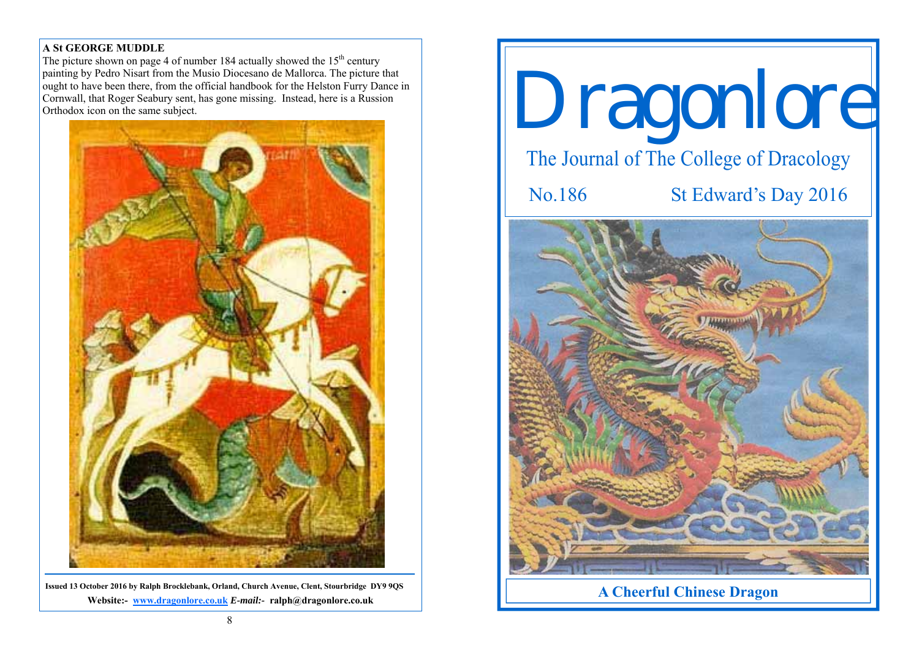### **A St GEORGE MUDDLE**

The picture shown on page 4 of number 184 actually showed the  $15<sup>th</sup>$  century painting by Pedro Nisart from the Musio Diocesano de Mallorca. The picture that ought to have been there, from the official handbook for the Helston Furry Dance in Cornwall, that Roger Seabury sent, has gone missing. Instead, here is a Russion Orthodox icon on the same subject.



**Issued 13 October 2016 by Ralph Brocklebank, Orland, Church Avenue, Clent, Stourbridge DY9 9QS Website:- www.dragonlore.co.uk** *E-mail:-* **ralph@dragonlore.co.uk**



**A Cheerful Chinese Dragon**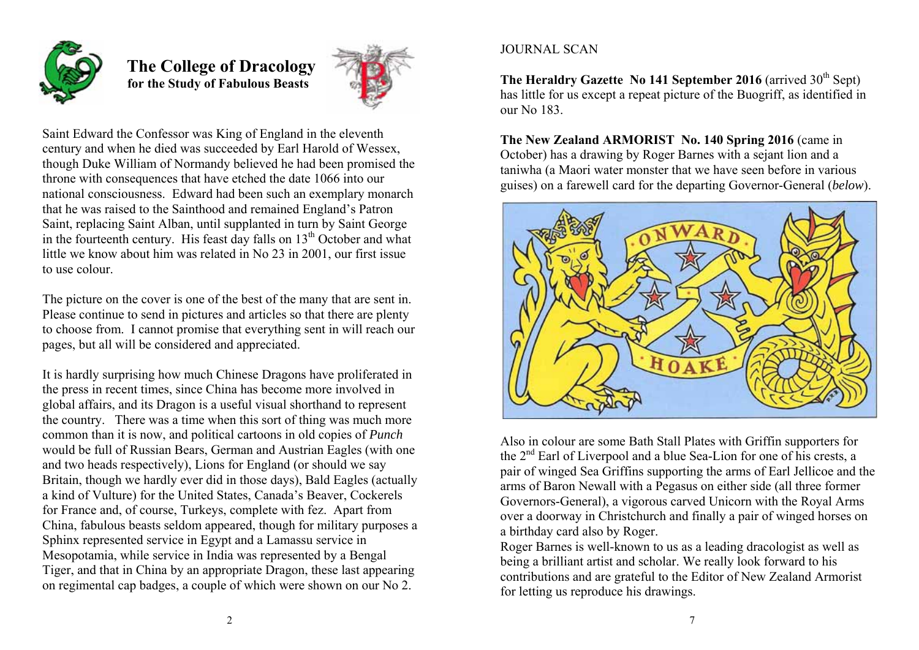

 **The College of Dracology for the Study of Fabulous Beasts** 



Saint Edward the Confessor was King of England in the eleventh century and when he died was succeeded by Earl Harold of Wessex, though Duke William of Normandy believed he had been promised the throne with consequences that have etched the date 1066 into our national consciousness. Edward had been such an exemplary monarch that he was raised to the Sainthood and remained England's Patron Saint, replacing Saint Alban, until supplanted in turn by Saint George in the fourteenth century. His feast day falls on  $13<sup>th</sup>$  October and what little we know about him was related in No 23 in 2001, our first issue to use colour.

The picture on the cover is one of the best of the many that are sent in. Please continue to send in pictures and articles so that there are plenty to choose from. I cannot promise that everything sent in will reach our pages, but all will be considered and appreciated.

It is hardly surprising how much Chinese Dragons have proliferated in the press in recent times, since China has become more involved in global affairs, and its Dragon is a useful visual shorthand to represent the country. There was a time when this sort of thing was much more common than it is now, and political cartoons in old copies of *Punch* would be full of Russian Bears, German and Austrian Eagles (with one and two heads respectively), Lions for England (or should we say Britain, though we hardly ever did in those days), Bald Eagles (actually a kind of Vulture) for the United States, Canada's Beaver, Cockerels for France and, of course, Turkeys, complete with fez. Apart from China, fabulous beasts seldom appeared, though for military purposes a Sphinx represented service in Egypt and a Lamassu service in Mesopotamia, while service in India was represented by a Bengal Tiger, and that in China by an appropriate Dragon, these last appearing on regimental cap badges, a couple of which were shown on our No 2.

# JOURNAL SCAN

The Heraldry Gazette No 141 September 2016 (arrived 30<sup>th</sup> Sept) has little for us except a repeat picture of the Buogriff, as identified in our No 183.

**The New Zealand ARMORIST No. 140 Spring 2016** (came in October) has a drawing by Roger Barnes with a sejant lion and a taniwha (a Maori water monster that we have seen before in various guises) on a farewell card for the departing Governor-General (*below*).



Also in colour are some Bath Stall Plates with Griffin supporters for the 2nd Earl of Liverpool and a blue Sea-Lion for one of his crests, a pair of winged Sea Griffins supporting the arms of Earl Jellicoe and the arms of Baron Newall with a Pegasus on either side (all three former Governors-General), a vigorous carved Unicorn with the Royal Arms over a doorway in Christchurch and finally a pair of winged horses on a birthday card also by Roger.

Roger Barnes is well-known to us as a leading dracologist as well as being a brilliant artist and scholar. We really look forward to his contributions and are grateful to the Editor of New Zealand Armorist for letting us reproduce his drawings.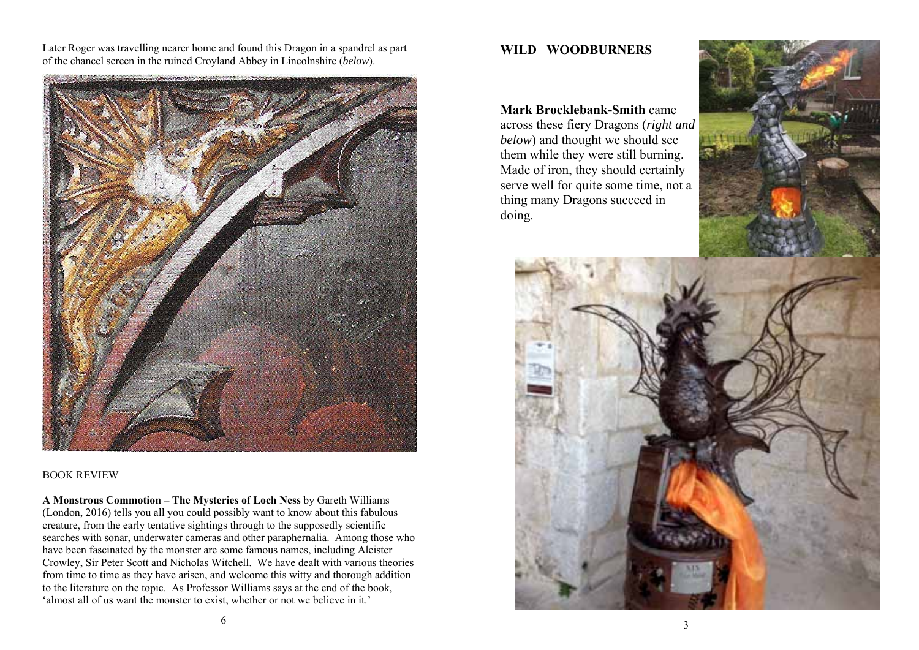Later Roger was travelling nearer home and found this Dragon in a spandrel as part of the chancel screen in the ruined Croyland Abbey in Lincolnshire (*below*).



BOOK REVIEW

**A Monstrous Commotion – The Mysteries of Loch Ness** by Gareth Williams (London, 2016) tells you all you could possibly want to know about this fabulous creature, from the early tentative sightings through to the supposedly scientific searches with sonar, underwater cameras and other paraphernalia. Among those who have been fascinated by the monster are some famous names, including Aleister Crowley, Sir Peter Scott and Nicholas Witchell. We have dealt with various theories from time to time as they have arisen, and welcome this witty and thorough addition to the literature on the topic. As Professor Williams says at the end of the book, 'almost all of us want the monster to exist, whether or not we believe in it.'

## **WILD WOODBURNERS**

**Mark Brocklebank-Smith** came

across these fiery Dragons (*right and below*) and thought we should see them while they were still burning. Made of iron, they should certainly serve well for quite some time, not a thing many Dragons succeed in doing.